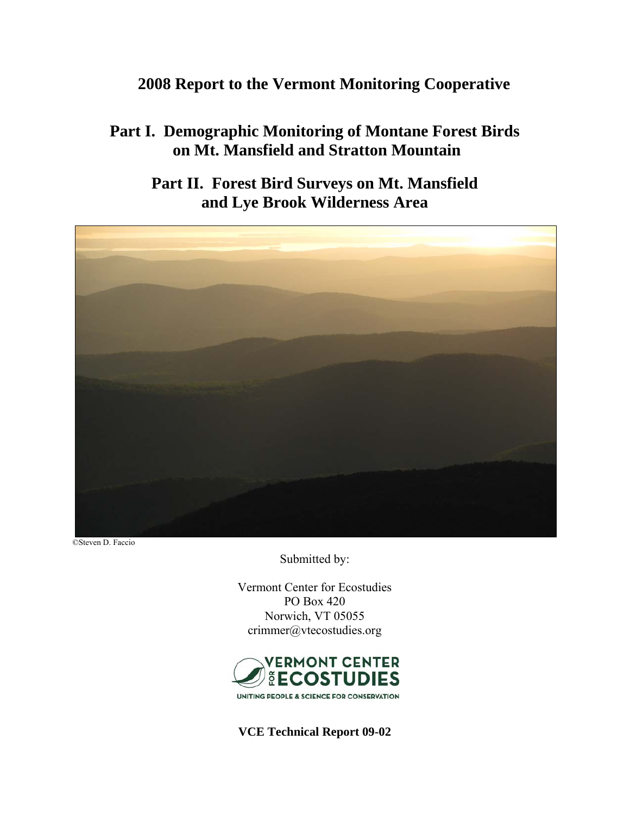## **2008 Report to the Vermont Monitoring Cooperative**

# **Part I. Demographic Monitoring of Montane Forest Birds on Mt. Mansfield and Stratton Mountain**

**Part II. Forest Bird Surveys on Mt. Mansfield and Lye Brook Wilderness Area** 



©Steven D. Faccio

Submitted by:

Vermont Center for Ecostudies PO Box 420 Norwich, VT 05055 crimmer@vtecostudies.org



**VCE Technical Report 09-02**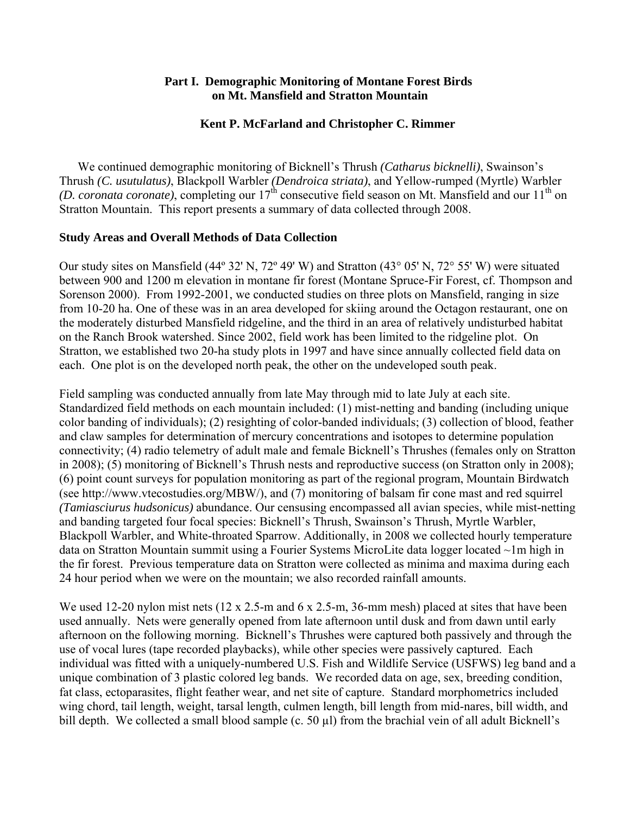#### **Part I. Demographic Monitoring of Montane Forest Birds on Mt. Mansfield and Stratton Mountain**

#### **Kent P. McFarland and Christopher C. Rimmer**

We continued demographic monitoring of Bicknell's Thrush *(Catharus bicknelli)*, Swainson's Thrush *(C. usutulatus)*, Blackpoll Warbler *(Dendroica striata)*, and Yellow-rumped (Myrtle) Warbler  $(D. coronata coronate)$ , completing our  $17<sup>th</sup>$  consecutive field season on Mt. Mansfield and our  $11<sup>th</sup>$  on Stratton Mountain. This report presents a summary of data collected through 2008.

#### **Study Areas and Overall Methods of Data Collection**

Our study sites on Mansfield (44º 32' N, 72º 49' W) and Stratton (43° 05' N, 72° 55' W) were situated between 900 and 1200 m elevation in montane fir forest (Montane Spruce-Fir Forest, cf. Thompson and Sorenson 2000). From 1992-2001, we conducted studies on three plots on Mansfield, ranging in size from 10-20 ha. One of these was in an area developed for skiing around the Octagon restaurant, one on the moderately disturbed Mansfield ridgeline, and the third in an area of relatively undisturbed habitat on the Ranch Brook watershed. Since 2002, field work has been limited to the ridgeline plot. On Stratton, we established two 20-ha study plots in 1997 and have since annually collected field data on each. One plot is on the developed north peak, the other on the undeveloped south peak.

Field sampling was conducted annually from late May through mid to late July at each site. Standardized field methods on each mountain included: (1) mist-netting and banding (including unique color banding of individuals); (2) resighting of color-banded individuals; (3) collection of blood, feather and claw samples for determination of mercury concentrations and isotopes to determine population connectivity; (4) radio telemetry of adult male and female Bicknell's Thrushes (females only on Stratton in 2008); (5) monitoring of Bicknell's Thrush nests and reproductive success (on Stratton only in 2008); (6) point count surveys for population monitoring as part of the regional program, Mountain Birdwatch (see http://www.vtecostudies.org/MBW/), and (7) monitoring of balsam fir cone mast and red squirrel *(Tamiasciurus hudsonicus)* abundance. Our censusing encompassed all avian species, while mist-netting and banding targeted four focal species: Bicknell's Thrush, Swainson's Thrush, Myrtle Warbler, Blackpoll Warbler, and White-throated Sparrow. Additionally, in 2008 we collected hourly temperature data on Stratton Mountain summit using a Fourier Systems MicroLite data logger located ~1m high in the fir forest. Previous temperature data on Stratton were collected as minima and maxima during each 24 hour period when we were on the mountain; we also recorded rainfall amounts.

We used 12-20 nylon mist nets (12 x 2.5-m and 6 x 2.5-m, 36-mm mesh) placed at sites that have been used annually. Nets were generally opened from late afternoon until dusk and from dawn until early afternoon on the following morning. Bicknell's Thrushes were captured both passively and through the use of vocal lures (tape recorded playbacks), while other species were passively captured. Each individual was fitted with a uniquely-numbered U.S. Fish and Wildlife Service (USFWS) leg band and a unique combination of 3 plastic colored leg bands. We recorded data on age, sex, breeding condition, fat class, ectoparasites, flight feather wear, and net site of capture. Standard morphometrics included wing chord, tail length, weight, tarsal length, culmen length, bill length from mid-nares, bill width, and bill depth. We collected a small blood sample (c. 50 µl) from the brachial vein of all adult Bicknell's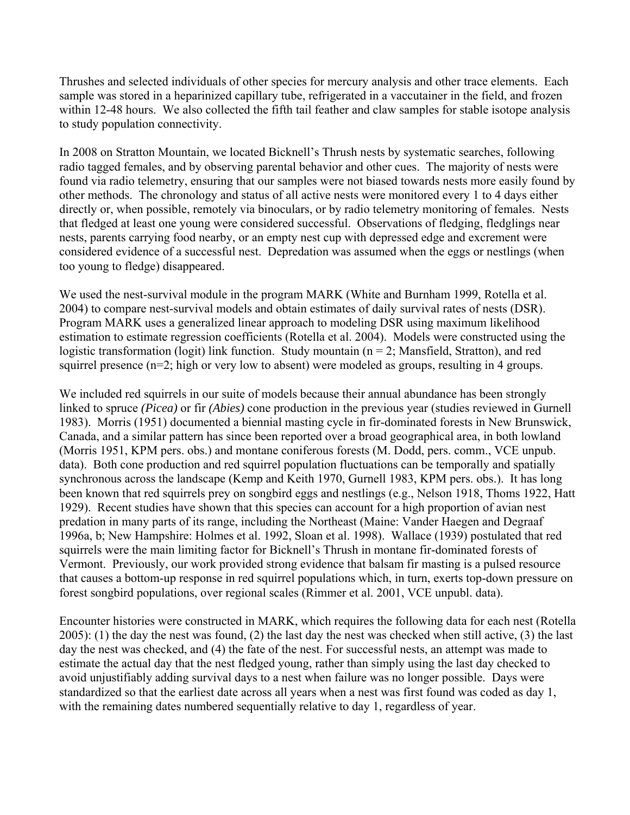Thrushes and selected individuals of other species for mercury analysis and other trace elements. Each sample was stored in a heparinized capillary tube, refrigerated in a vaccutainer in the field, and frozen within 12-48 hours. We also collected the fifth tail feather and claw samples for stable isotope analysis to study population connectivity.

In 2008 on Stratton Mountain, we located Bicknell's Thrush nests by systematic searches, following radio tagged females, and by observing parental behavior and other cues. The majority of nests were found via radio telemetry, ensuring that our samples were not biased towards nests more easily found by other methods. The chronology and status of all active nests were monitored every 1 to 4 days either directly or, when possible, remotely via binoculars, or by radio telemetry monitoring of females. Nests that fledged at least one young were considered successful. Observations of fledging, fledglings near nests, parents carrying food nearby, or an empty nest cup with depressed edge and excrement were considered evidence of a successful nest. Depredation was assumed when the eggs or nestlings (when too young to fledge) disappeared.

We used the nest-survival module in the program MARK (White and Burnham 1999, Rotella et al. 2004) to compare nest-survival models and obtain estimates of daily survival rates of nests (DSR). Program MARK uses a generalized linear approach to modeling DSR using maximum likelihood estimation to estimate regression coefficients (Rotella et al. 2004). Models were constructed using the logistic transformation (logit) link function. Study mountain ( $n = 2$ ; Mansfield, Stratton), and red squirrel presence (n=2; high or very low to absent) were modeled as groups, resulting in 4 groups.

We included red squirrels in our suite of models because their annual abundance has been strongly linked to spruce *(Picea)* or fir *(Abies)* cone production in the previous year (studies reviewed in Gurnell 1983). Morris (1951) documented a biennial masting cycle in fir-dominated forests in New Brunswick, Canada, and a similar pattern has since been reported over a broad geographical area, in both lowland (Morris 1951, KPM pers. obs.) and montane coniferous forests (M. Dodd, pers. comm., VCE unpub. data). Both cone production and red squirrel population fluctuations can be temporally and spatially synchronous across the landscape (Kemp and Keith 1970, Gurnell 1983, KPM pers. obs.). It has long been known that red squirrels prey on songbird eggs and nestlings (e.g., Nelson 1918, Thoms 1922, Hatt 1929). Recent studies have shown that this species can account for a high proportion of avian nest predation in many parts of its range, including the Northeast (Maine: Vander Haegen and Degraaf 1996a, b; New Hampshire: Holmes et al. 1992, Sloan et al. 1998). Wallace (1939) postulated that red squirrels were the main limiting factor for Bicknell's Thrush in montane fir-dominated forests of Vermont. Previously, our work provided strong evidence that balsam fir masting is a pulsed resource that causes a bottom-up response in red squirrel populations which, in turn, exerts top-down pressure on forest songbird populations, over regional scales (Rimmer et al. 2001, VCE unpubl. data).

Encounter histories were constructed in MARK, which requires the following data for each nest (Rotella 2005): (1) the day the nest was found, (2) the last day the nest was checked when still active, (3) the last day the nest was checked, and (4) the fate of the nest. For successful nests, an attempt was made to estimate the actual day that the nest fledged young, rather than simply using the last day checked to avoid unjustifiably adding survival days to a nest when failure was no longer possible. Days were standardized so that the earliest date across all years when a nest was first found was coded as day 1, with the remaining dates numbered sequentially relative to day 1, regardless of year.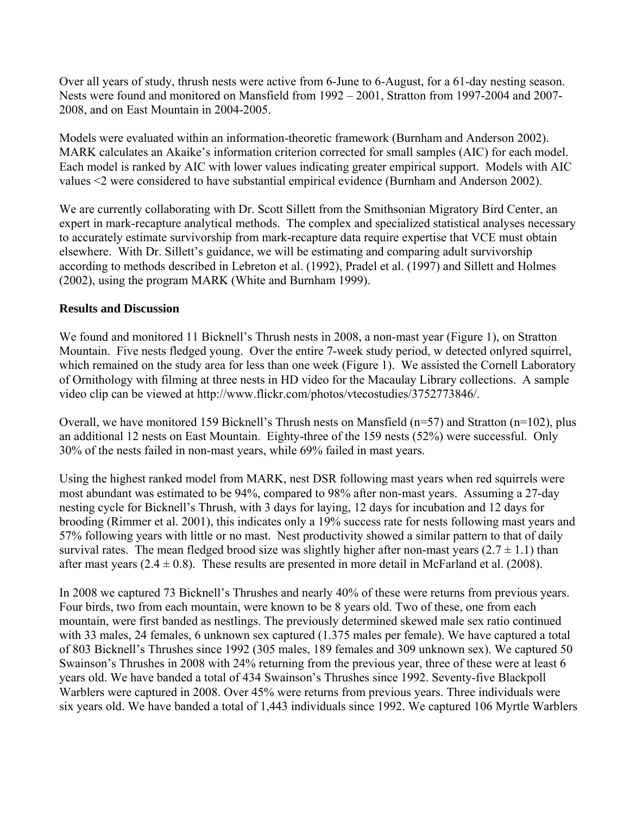Over all years of study, thrush nests were active from 6-June to 6-August, for a 61-day nesting season. Nests were found and monitored on Mansfield from 1992 – 2001, Stratton from 1997-2004 and 2007- 2008, and on East Mountain in 2004-2005.

Models were evaluated within an information-theoretic framework (Burnham and Anderson 2002). MARK calculates an Akaike's information criterion corrected for small samples (AIC) for each model. Each model is ranked by AIC with lower values indicating greater empirical support. Models with AIC values <2 were considered to have substantial empirical evidence (Burnham and Anderson 2002).

We are currently collaborating with Dr. Scott Sillett from the Smithsonian Migratory Bird Center, an expert in mark-recapture analytical methods. The complex and specialized statistical analyses necessary to accurately estimate survivorship from mark-recapture data require expertise that VCE must obtain elsewhere. With Dr. Sillett's guidance, we will be estimating and comparing adult survivorship according to methods described in Lebreton et al. (1992), Pradel et al. (1997) and Sillett and Holmes (2002), using the program MARK (White and Burnham 1999).

#### **Results and Discussion**

We found and monitored 11 Bicknell's Thrush nests in 2008, a non-mast year (Figure 1), on Stratton Mountain. Five nests fledged young. Over the entire 7-week study period, w detected onlyred squirrel, which remained on the study area for less than one week (Figure 1). We assisted the Cornell Laboratory of Ornithology with filming at three nests in HD video for the Macaulay Library collections. A sample video clip can be viewed at http://www.flickr.com/photos/vtecostudies/3752773846/.

Overall, we have monitored 159 Bicknell's Thrush nests on Mansfield (n=57) and Stratton (n=102), plus an additional 12 nests on East Mountain. Eighty-three of the 159 nests (52%) were successful. Only 30% of the nests failed in non-mast years, while 69% failed in mast years.

Using the highest ranked model from MARK, nest DSR following mast years when red squirrels were most abundant was estimated to be 94%, compared to 98% after non-mast years. Assuming a 27-day nesting cycle for Bicknell's Thrush, with 3 days for laying, 12 days for incubation and 12 days for brooding (Rimmer et al. 2001), this indicates only a 19% success rate for nests following mast years and 57% following years with little or no mast. Nest productivity showed a similar pattern to that of daily survival rates. The mean fledged brood size was slightly higher after non-mast years  $(2.7 \pm 1.1)$  than after mast years  $(2.4 \pm 0.8)$ . These results are presented in more detail in McFarland et al. (2008).

In 2008 we captured 73 Bicknell's Thrushes and nearly 40% of these were returns from previous years. Four birds, two from each mountain, were known to be 8 years old. Two of these, one from each mountain, were first banded as nestlings. The previously determined skewed male sex ratio continued with 33 males, 24 females, 6 unknown sex captured (1.375 males per female). We have captured a total of 803 Bicknell's Thrushes since 1992 (305 males, 189 females and 309 unknown sex). We captured 50 Swainson's Thrushes in 2008 with 24% returning from the previous year, three of these were at least 6 years old. We have banded a total of 434 Swainson's Thrushes since 1992. Seventy-five Blackpoll Warblers were captured in 2008. Over 45% were returns from previous years. Three individuals were six years old. We have banded a total of 1,443 individuals since 1992. We captured 106 Myrtle Warblers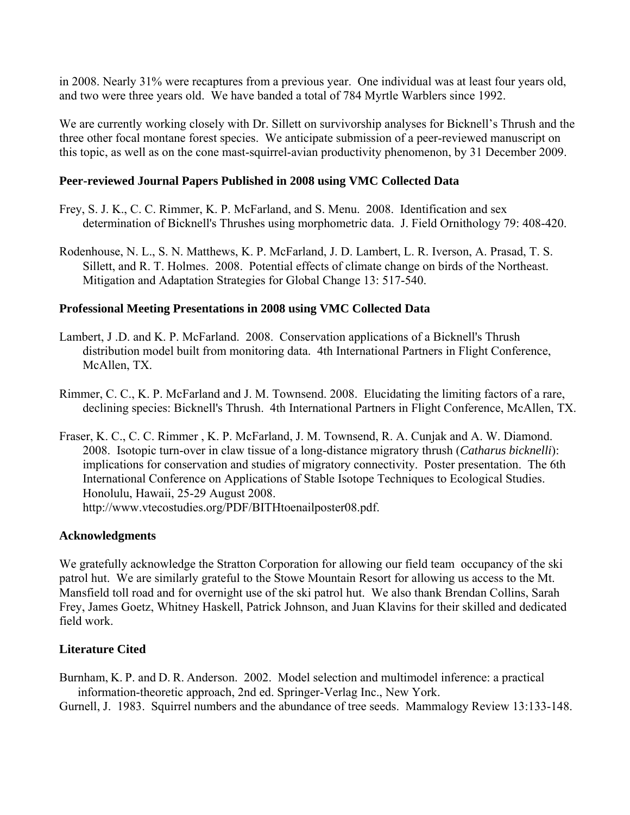in 2008. Nearly 31% were recaptures from a previous year. One individual was at least four years old, and two were three years old. We have banded a total of 784 Myrtle Warblers since 1992.

We are currently working closely with Dr. Sillett on survivorship analyses for Bicknell's Thrush and the three other focal montane forest species. We anticipate submission of a peer-reviewed manuscript on this topic, as well as on the cone mast-squirrel-avian productivity phenomenon, by 31 December 2009.

#### **Peer-reviewed Journal Papers Published in 2008 using VMC Collected Data**

- Frey, S. J. K., C. C. Rimmer, K. P. McFarland, and S. Menu. 2008. Identification and sex determination of Bicknell's Thrushes using morphometric data. J. Field Ornithology 79: 408-420.
- Rodenhouse, N. L., S. N. Matthews, K. P. McFarland, J. D. Lambert, L. R. Iverson, A. Prasad, T. S. Sillett, and R. T. Holmes. 2008. Potential effects of climate change on birds of the Northeast. Mitigation and Adaptation Strategies for Global Change 13: 517-540.

#### **Professional Meeting Presentations in 2008 using VMC Collected Data**

- Lambert, J .D. and K. P. McFarland. 2008. Conservation applications of a Bicknell's Thrush distribution model built from monitoring data. 4th International Partners in Flight Conference, McAllen, TX.
- Rimmer, C. C., K. P. McFarland and J. M. Townsend. 2008. Elucidating the limiting factors of a rare, declining species: Bicknell's Thrush. 4th International Partners in Flight Conference, McAllen, TX.
- Fraser, K. C., C. C. Rimmer , K. P. McFarland, J. M. Townsend, R. A. Cunjak and A. W. Diamond. 2008. Isotopic turn-over in claw tissue of a long-distance migratory thrush (*Catharus bicknelli*): implications for conservation and studies of migratory connectivity. Poster presentation. The 6th International Conference on Applications of Stable Isotope Techniques to Ecological Studies. Honolulu, Hawaii, 25-29 August 2008. http://www.vtecostudies.org/PDF/BITHtoenailposter08.pdf.

#### **Acknowledgments**

We gratefully acknowledge the Stratton Corporation for allowing our field team occupancy of the ski patrol hut. We are similarly grateful to the Stowe Mountain Resort for allowing us access to the Mt. Mansfield toll road and for overnight use of the ski patrol hut. We also thank Brendan Collins, Sarah Frey, James Goetz, Whitney Haskell, Patrick Johnson, and Juan Klavins for their skilled and dedicated field work.

#### **Literature Cited**

Burnham, K. P. and D. R. Anderson. 2002. Model selection and multimodel inference: a practical information-theoretic approach, 2nd ed. Springer-Verlag Inc., New York.

Gurnell, J. 1983. Squirrel numbers and the abundance of tree seeds. Mammalogy Review 13:133-148.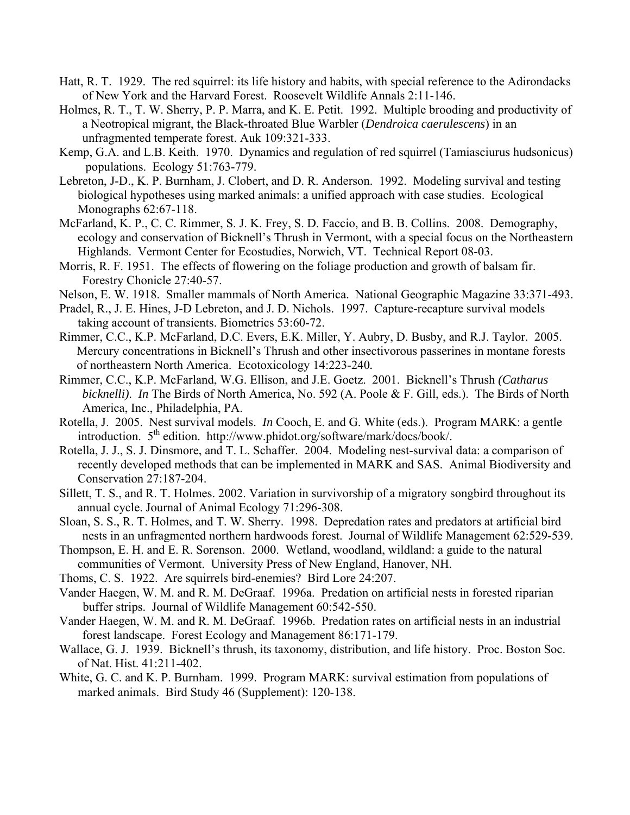- Hatt, R. T. 1929. The red squirrel: its life history and habits, with special reference to the Adirondacks of New York and the Harvard Forest. Roosevelt Wildlife Annals 2:11-146.
- Holmes, R. T., T. W. Sherry, P. P. Marra, and K. E. Petit. 1992. Multiple brooding and productivity of a Neotropical migrant, the Black-throated Blue Warbler (*Dendroica caerulescens*) in an unfragmented temperate forest. Auk 109:321-333.
- Kemp, G.A. and L.B. Keith. 1970. Dynamics and regulation of red squirrel (Tamiasciurus hudsonicus) populations. Ecology 51:763-779.
- Lebreton, J-D., K. P. Burnham, J. Clobert, and D. R. Anderson. 1992. Modeling survival and testing biological hypotheses using marked animals: a unified approach with case studies. Ecological Monographs 62:67-118.
- McFarland, K. P., C. C. Rimmer, S. J. K. Frey, S. D. Faccio, and B. B. Collins. 2008. Demography, ecology and conservation of Bicknell's Thrush in Vermont, with a special focus on the Northeastern Highlands. Vermont Center for Ecostudies, Norwich, VT. Technical Report 08-03.
- Morris, R. F. 1951. The effects of flowering on the foliage production and growth of balsam fir. Forestry Chonicle 27:40-57.
- Nelson, E. W. 1918. Smaller mammals of North America. National Geographic Magazine 33:371-493.
- Pradel, R., J. E. Hines, J-D Lebreton, and J. D. Nichols. 1997. Capture-recapture survival models taking account of transients. Biometrics 53:60-72.
- Rimmer, C.C., K.P. McFarland, D.C. Evers, E.K. Miller, Y. Aubry, D. Busby, and R.J. Taylor. 2005. Mercury concentrations in Bicknell's Thrush and other insectivorous passerines in montane forests of northeastern North America. Ecotoxicology 14:223-240*.*
- Rimmer, C.C., K.P. McFarland, W.G. Ellison, and J.E. Goetz. 2001. Bicknell's Thrush *(Catharus bicknelli)*. *In* The Birds of North America, No. 592 (A. Poole & F. Gill, eds.). The Birds of North America, Inc., Philadelphia, PA.
- Rotella, J. 2005. Nest survival models. *In* Cooch, E. and G. White (eds.). Program MARK: a gentle introduction. 5th edition. http://www.phidot.org/software/mark/docs/book/.
- Rotella, J. J., S. J. Dinsmore, and T. L. Schaffer. 2004. Modeling nest-survival data: a comparison of recently developed methods that can be implemented in MARK and SAS. Animal Biodiversity and Conservation 27:187-204.
- Sillett, T. S., and R. T. Holmes. 2002. Variation in survivorship of a migratory songbird throughout its annual cycle. Journal of Animal Ecology 71:296-308.
- Sloan, S. S., R. T. Holmes, and T. W. Sherry. 1998. Depredation rates and predators at artificial bird nests in an unfragmented northern hardwoods forest. Journal of Wildlife Management 62:529-539.
- Thompson, E. H. and E. R. Sorenson. 2000. Wetland, woodland, wildland: a guide to the natural communities of Vermont. University Press of New England, Hanover, NH.
- Thoms, C. S. 1922. Are squirrels bird-enemies? Bird Lore 24:207.
- Vander Haegen, W. M. and R. M. DeGraaf. 1996a. Predation on artificial nests in forested riparian buffer strips. Journal of Wildlife Management 60:542-550.
- Vander Haegen, W. M. and R. M. DeGraaf. 1996b. Predation rates on artificial nests in an industrial forest landscape. Forest Ecology and Management 86:171-179.
- Wallace, G. J. 1939. Bicknell's thrush, its taxonomy, distribution, and life history. Proc. Boston Soc. of Nat. Hist. 41:211-402.
- White, G. C. and K. P. Burnham. 1999. Program MARK: survival estimation from populations of marked animals. Bird Study 46 (Supplement): 120-138.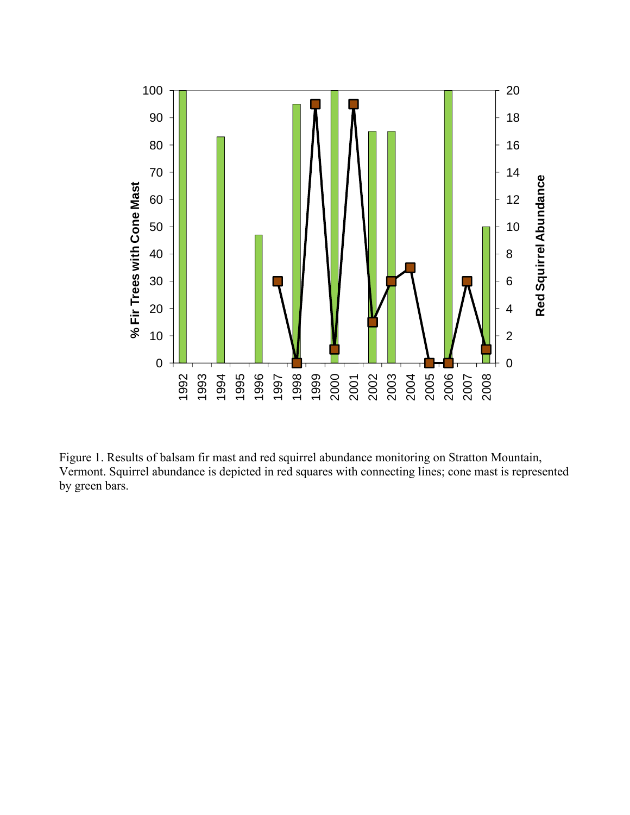

Figure 1. Results of balsam fir mast and red squirrel abundance monitoring on Stratton Mountain, Vermont. Squirrel abundance is depicted in red squares with connecting lines; cone mast is represented by green bars.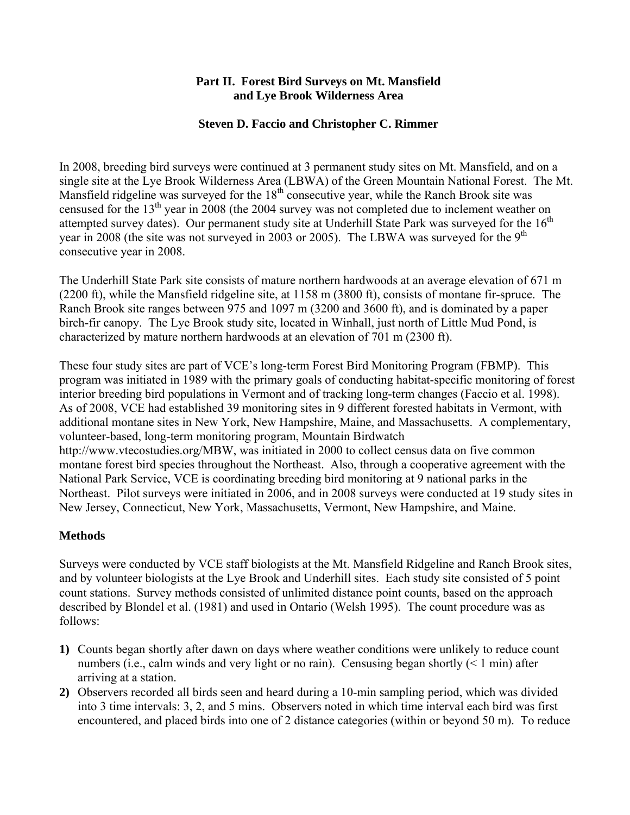#### **Part II. Forest Bird Surveys on Mt. Mansfield and Lye Brook Wilderness Area**

#### **Steven D. Faccio and Christopher C. Rimmer**

In 2008, breeding bird surveys were continued at 3 permanent study sites on Mt. Mansfield, and on a single site at the Lye Brook Wilderness Area (LBWA) of the Green Mountain National Forest. The Mt. Mansfield ridgeline was surveyed for the  $18<sup>th</sup>$  consecutive year, while the Ranch Brook site was censused for the 13<sup>th</sup> year in 2008 (the 2004 survey was not completed due to inclement weather on attempted survey dates). Our permanent study site at Underhill State Park was surveyed for the  $16<sup>th</sup>$ year in 2008 (the site was not surveyed in 2003 or 2005). The LBWA was surveyed for the  $9<sup>th</sup>$ consecutive year in 2008.

The Underhill State Park site consists of mature northern hardwoods at an average elevation of 671 m (2200 ft), while the Mansfield ridgeline site, at 1158 m (3800 ft), consists of montane fir-spruce. The Ranch Brook site ranges between 975 and 1097 m (3200 and 3600 ft), and is dominated by a paper birch-fir canopy. The Lye Brook study site, located in Winhall, just north of Little Mud Pond, is characterized by mature northern hardwoods at an elevation of 701 m (2300 ft).

These four study sites are part of VCE's long-term Forest Bird Monitoring Program (FBMP). This program was initiated in 1989 with the primary goals of conducting habitat-specific monitoring of forest interior breeding bird populations in Vermont and of tracking long-term changes (Faccio et al. 1998). As of 2008, VCE had established 39 monitoring sites in 9 different forested habitats in Vermont, with additional montane sites in New York, New Hampshire, Maine, and Massachusetts. A complementary, volunteer-based, long-term monitoring program, Mountain Birdwatch http://www.vtecostudies.org/MBW, was initiated in 2000 to collect census data on five common montane forest bird species throughout the Northeast. Also, through a cooperative agreement with the National Park Service, VCE is coordinating breeding bird monitoring at 9 national parks in the Northeast. Pilot surveys were initiated in 2006, and in 2008 surveys were conducted at 19 study sites in New Jersey, Connecticut, New York, Massachusetts, Vermont, New Hampshire, and Maine.

#### **Methods**

Surveys were conducted by VCE staff biologists at the Mt. Mansfield Ridgeline and Ranch Brook sites, and by volunteer biologists at the Lye Brook and Underhill sites. Each study site consisted of 5 point count stations. Survey methods consisted of unlimited distance point counts, based on the approach described by Blondel et al. (1981) and used in Ontario (Welsh 1995). The count procedure was as follows:

- **1)** Counts began shortly after dawn on days where weather conditions were unlikely to reduce count numbers (i.e., calm winds and very light or no rain). Censusing began shortly  $(< 1$  min) after arriving at a station.
- **2)** Observers recorded all birds seen and heard during a 10-min sampling period, which was divided into 3 time intervals: 3, 2, and 5 mins. Observers noted in which time interval each bird was first encountered, and placed birds into one of 2 distance categories (within or beyond 50 m). To reduce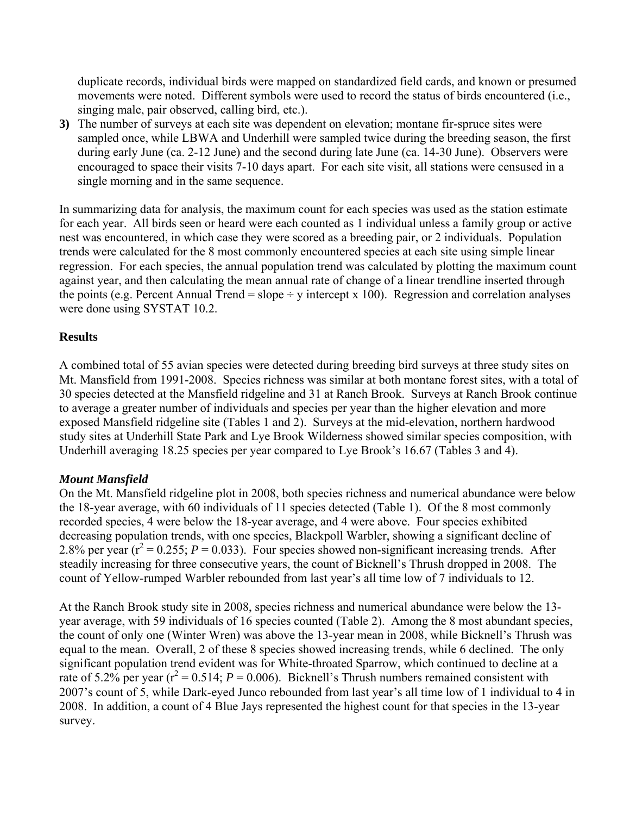duplicate records, individual birds were mapped on standardized field cards, and known or presumed movements were noted. Different symbols were used to record the status of birds encountered (i.e., singing male, pair observed, calling bird, etc.).

**3)** The number of surveys at each site was dependent on elevation; montane fir-spruce sites were sampled once, while LBWA and Underhill were sampled twice during the breeding season, the first during early June (ca. 2-12 June) and the second during late June (ca. 14-30 June). Observers were encouraged to space their visits 7-10 days apart. For each site visit, all stations were censused in a single morning and in the same sequence.

In summarizing data for analysis, the maximum count for each species was used as the station estimate for each year. All birds seen or heard were each counted as 1 individual unless a family group or active nest was encountered, in which case they were scored as a breeding pair, or 2 individuals. Population trends were calculated for the 8 most commonly encountered species at each site using simple linear regression. For each species, the annual population trend was calculated by plotting the maximum count against year, and then calculating the mean annual rate of change of a linear trendline inserted through the points (e.g. Percent Annual Trend = slope  $\div$  y intercept x 100). Regression and correlation analyses were done using SYSTAT 10.2.

#### **Results**

A combined total of 55 avian species were detected during breeding bird surveys at three study sites on Mt. Mansfield from 1991-2008. Species richness was similar at both montane forest sites, with a total of 30 species detected at the Mansfield ridgeline and 31 at Ranch Brook. Surveys at Ranch Brook continue to average a greater number of individuals and species per year than the higher elevation and more exposed Mansfield ridgeline site (Tables 1 and 2). Surveys at the mid-elevation, northern hardwood study sites at Underhill State Park and Lye Brook Wilderness showed similar species composition, with Underhill averaging 18.25 species per year compared to Lye Brook's 16.67 (Tables 3 and 4).

### *Mount Mansfield*

On the Mt. Mansfield ridgeline plot in 2008, both species richness and numerical abundance were below the 18-year average, with 60 individuals of 11 species detected (Table 1). Of the 8 most commonly recorded species, 4 were below the 18-year average, and 4 were above. Four species exhibited decreasing population trends, with one species, Blackpoll Warbler, showing a significant decline of 2.8% per year  $(r^2 = 0.255; P = 0.033)$ . Four species showed non-significant increasing trends. After steadily increasing for three consecutive years, the count of Bicknell's Thrush dropped in 2008. The count of Yellow-rumped Warbler rebounded from last year's all time low of 7 individuals to 12.

At the Ranch Brook study site in 2008, species richness and numerical abundance were below the 13 year average, with 59 individuals of 16 species counted (Table 2). Among the 8 most abundant species, the count of only one (Winter Wren) was above the 13-year mean in 2008, while Bicknell's Thrush was equal to the mean. Overall, 2 of these 8 species showed increasing trends, while 6 declined. The only significant population trend evident was for White-throated Sparrow, which continued to decline at a rate of 5.2% per year ( $r^2$  = 0.514; *P* = 0.006). Bicknell's Thrush numbers remained consistent with 2007's count of 5, while Dark-eyed Junco rebounded from last year's all time low of 1 individual to 4 in 2008. In addition, a count of 4 Blue Jays represented the highest count for that species in the 13-year survey.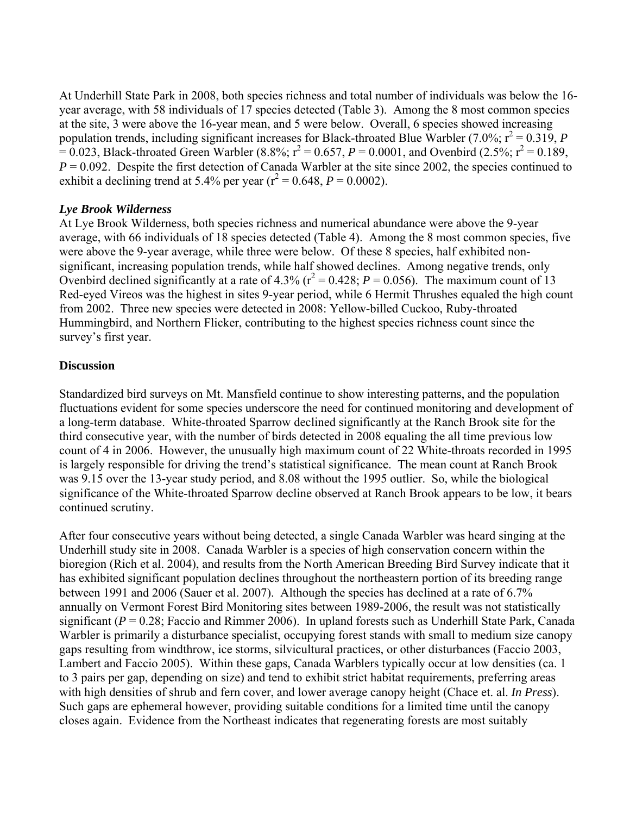At Underhill State Park in 2008, both species richness and total number of individuals was below the 16 year average, with 58 individuals of 17 species detected (Table 3). Among the 8 most common species at the site, 3 were above the 16-year mean, and 5 were below. Overall, 6 species showed increasing population trends, including significant increases for Black-throated Blue Warbler (7.0%;  $r^2 = 0.319$ , *P*  $\vec{r} = 0.023$ , Black-throated Green Warbler (8.8%;  $r^2 = 0.657$ ,  $P = 0.0001$ , and Ovenbird (2.5%;  $r^2 = 0.189$ ,  $P = 0.092$ . Despite the first detection of Canada Warbler at the site since 2002, the species continued to exhibit a declining trend at 5.4% per year ( $r^2 = 0.648$ ,  $P = 0.0002$ ).

#### *Lye Brook Wilderness*

At Lye Brook Wilderness, both species richness and numerical abundance were above the 9-year average, with 66 individuals of 18 species detected (Table 4). Among the 8 most common species, five were above the 9-year average, while three were below. Of these 8 species, half exhibited nonsignificant, increasing population trends, while half showed declines. Among negative trends, only Ovenbird declined significantly at a rate of 4.3% ( $r^2 = 0.428$ ;  $P = 0.056$ ). The maximum count of 13 Red-eyed Vireos was the highest in sites 9-year period, while 6 Hermit Thrushes equaled the high count from 2002. Three new species were detected in 2008: Yellow-billed Cuckoo, Ruby-throated Hummingbird, and Northern Flicker, contributing to the highest species richness count since the survey's first year.

#### **Discussion**

Standardized bird surveys on Mt. Mansfield continue to show interesting patterns, and the population fluctuations evident for some species underscore the need for continued monitoring and development of a long-term database. White-throated Sparrow declined significantly at the Ranch Brook site for the third consecutive year, with the number of birds detected in 2008 equaling the all time previous low count of 4 in 2006. However, the unusually high maximum count of 22 White-throats recorded in 1995 is largely responsible for driving the trend's statistical significance. The mean count at Ranch Brook was 9.15 over the 13-year study period, and 8.08 without the 1995 outlier. So, while the biological significance of the White-throated Sparrow decline observed at Ranch Brook appears to be low, it bears continued scrutiny.

After four consecutive years without being detected, a single Canada Warbler was heard singing at the Underhill study site in 2008. Canada Warbler is a species of high conservation concern within the bioregion (Rich et al. 2004), and results from the North American Breeding Bird Survey indicate that it has exhibited significant population declines throughout the northeastern portion of its breeding range between 1991 and 2006 (Sauer et al. 2007). Although the species has declined at a rate of 6.7% annually on Vermont Forest Bird Monitoring sites between 1989-2006, the result was not statistically significant  $(P = 0.28$ ; Faccio and Rimmer 2006). In upland forests such as Underhill State Park, Canada Warbler is primarily a disturbance specialist, occupying forest stands with small to medium size canopy gaps resulting from windthrow, ice storms, silvicultural practices, or other disturbances (Faccio 2003, Lambert and Faccio 2005). Within these gaps, Canada Warblers typically occur at low densities (ca. 1 to 3 pairs per gap, depending on size) and tend to exhibit strict habitat requirements, preferring areas with high densities of shrub and fern cover, and lower average canopy height (Chace et. al. *In Press*). Such gaps are ephemeral however, providing suitable conditions for a limited time until the canopy closes again. Evidence from the Northeast indicates that regenerating forests are most suitably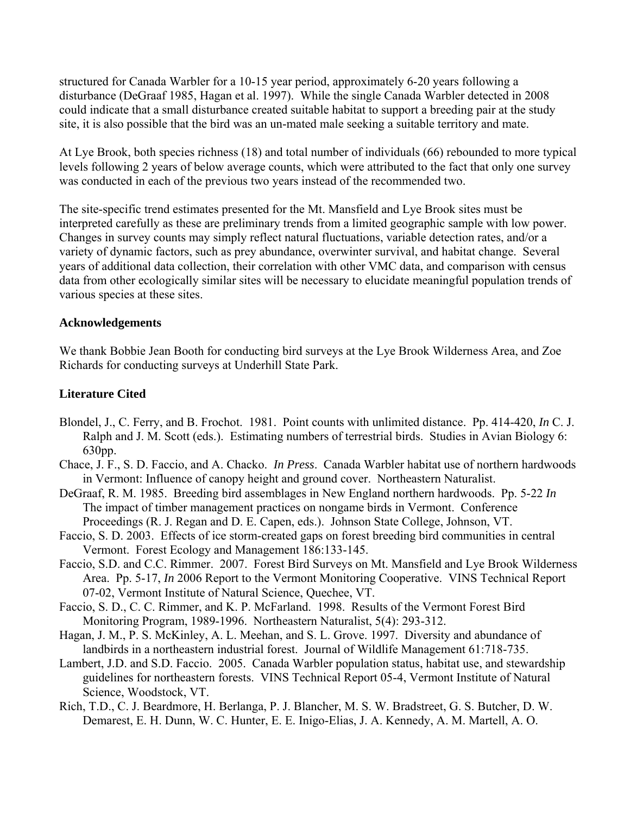structured for Canada Warbler for a 10-15 year period, approximately 6-20 years following a disturbance (DeGraaf 1985, Hagan et al. 1997). While the single Canada Warbler detected in 2008 could indicate that a small disturbance created suitable habitat to support a breeding pair at the study site, it is also possible that the bird was an un-mated male seeking a suitable territory and mate.

At Lye Brook, both species richness (18) and total number of individuals (66) rebounded to more typical levels following 2 years of below average counts, which were attributed to the fact that only one survey was conducted in each of the previous two years instead of the recommended two.

The site-specific trend estimates presented for the Mt. Mansfield and Lye Brook sites must be interpreted carefully as these are preliminary trends from a limited geographic sample with low power. Changes in survey counts may simply reflect natural fluctuations, variable detection rates, and/or a variety of dynamic factors, such as prey abundance, overwinter survival, and habitat change. Several years of additional data collection, their correlation with other VMC data, and comparison with census data from other ecologically similar sites will be necessary to elucidate meaningful population trends of various species at these sites.

#### **Acknowledgements**

We thank Bobbie Jean Booth for conducting bird surveys at the Lye Brook Wilderness Area, and Zoe Richards for conducting surveys at Underhill State Park.

#### **Literature Cited**

- Blondel, J., C. Ferry, and B. Frochot. 1981. Point counts with unlimited distance. Pp. 414-420, *In* C. J. Ralph and J. M. Scott (eds.). Estimating numbers of terrestrial birds. Studies in Avian Biology 6: 630pp.
- Chace, J. F., S. D. Faccio, and A. Chacko. *In Press*. Canada Warbler habitat use of northern hardwoods in Vermont: Influence of canopy height and ground cover. Northeastern Naturalist.
- DeGraaf, R. M. 1985. Breeding bird assemblages in New England northern hardwoods. Pp. 5-22 *In* The impact of timber management practices on nongame birds in Vermont. Conference Proceedings (R. J. Regan and D. E. Capen, eds.). Johnson State College, Johnson, VT.
- Faccio, S. D. 2003. Effects of ice storm-created gaps on forest breeding bird communities in central Vermont. Forest Ecology and Management 186:133-145.
- Faccio, S.D. and C.C. Rimmer. 2007. Forest Bird Surveys on Mt. Mansfield and Lye Brook Wilderness Area. Pp. 5-17, *In* 2006 Report to the Vermont Monitoring Cooperative. VINS Technical Report 07-02, Vermont Institute of Natural Science, Quechee, VT.
- Faccio, S. D., C. C. Rimmer, and K. P. McFarland. 1998. Results of the Vermont Forest Bird Monitoring Program, 1989-1996. Northeastern Naturalist, 5(4): 293-312.
- Hagan, J. M., P. S. McKinley, A. L. Meehan, and S. L. Grove. 1997. Diversity and abundance of landbirds in a northeastern industrial forest. Journal of Wildlife Management 61:718-735.
- Lambert, J.D. and S.D. Faccio. 2005. Canada Warbler population status, habitat use, and stewardship guidelines for northeastern forests. VINS Technical Report 05-4, Vermont Institute of Natural Science, Woodstock, VT.
- Rich, T.D., C. J. Beardmore, H. Berlanga, P. J. Blancher, M. S. W. Bradstreet, G. S. Butcher, D. W. Demarest, E. H. Dunn, W. C. Hunter, E. E. Inigo-Elias, J. A. Kennedy, A. M. Martell, A. O.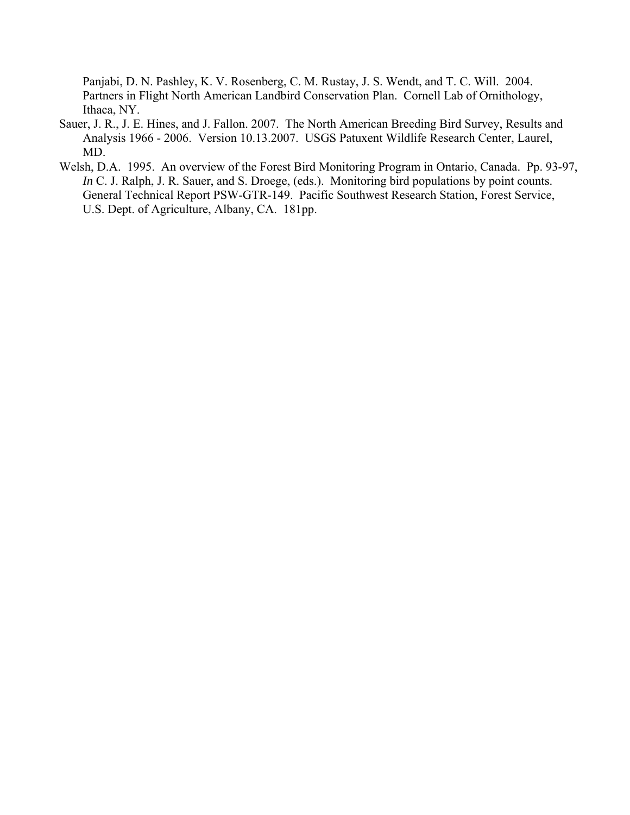Panjabi, D. N. Pashley, K. V. Rosenberg, C. M. Rustay, J. S. Wendt, and T. C. Will. 2004. Partners in Flight North American Landbird Conservation Plan. Cornell Lab of Ornithology, Ithaca, NY.

- Sauer, J. R., J. E. Hines, and J. Fallon. 2007. The North American Breeding Bird Survey, Results and Analysis 1966 - 2006. Version 10.13.2007. USGS Patuxent Wildlife Research Center, Laurel, MD.
- Welsh, D.A. 1995. An overview of the Forest Bird Monitoring Program in Ontario, Canada. Pp. 93-97, *In* C. J. Ralph, J. R. Sauer, and S. Droege, (eds.). Monitoring bird populations by point counts. General Technical Report PSW-GTR-149. Pacific Southwest Research Station, Forest Service, U.S. Dept. of Agriculture, Albany, CA. 181pp.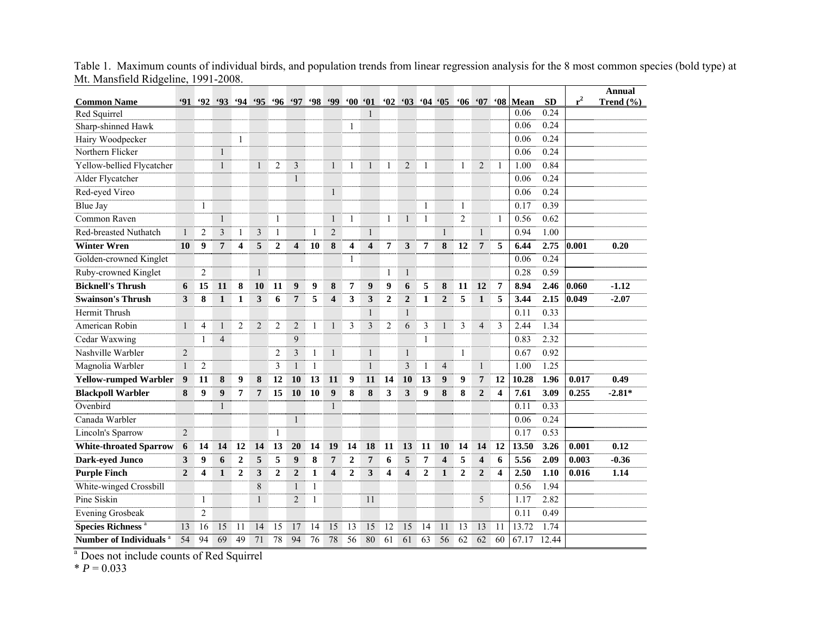| <b>Common Name</b>                  | <b>91</b>      | 92             | 93             | $-94$                   |                | $95 \t96 \t97$ |                         |              | 98,99                   | '00'01                  |                         |                         | $^{\circ}02$ $^{\circ}03$ | $04 \t05$      |                         | $^{\circ}06$     | 67                      |                         | '08 Mean | <b>SD</b> | $r^2$ | <b>Annual</b><br>Trend $(\% )$ |
|-------------------------------------|----------------|----------------|----------------|-------------------------|----------------|----------------|-------------------------|--------------|-------------------------|-------------------------|-------------------------|-------------------------|---------------------------|----------------|-------------------------|------------------|-------------------------|-------------------------|----------|-----------|-------|--------------------------------|
| Red Squirrel                        |                |                |                |                         |                |                |                         |              |                         |                         | $\mathbf{1}$            |                         |                           |                |                         |                  |                         |                         | 0.06     | 0.24      |       |                                |
| Sharp-shinned Hawk                  |                |                |                |                         |                |                |                         |              |                         | 1                       |                         |                         |                           |                |                         |                  |                         |                         | 0.06     | 0.24      |       |                                |
| Hairy Woodpecker                    |                |                |                | $\mathbf{1}$            |                |                |                         |              |                         |                         |                         |                         |                           |                |                         |                  |                         |                         | 0.06     | 0.24      |       |                                |
| Northern Flicker                    |                |                | $\mathbf{1}$   |                         |                |                |                         |              |                         |                         |                         |                         |                           |                |                         |                  |                         |                         | 0.06     | 0.24      |       |                                |
| Yellow-bellied Flycatcher           |                |                | $\mathbf{1}$   |                         | $\mathbf{1}$   | $\overline{2}$ | 3                       |              | 1                       | 1                       | $\mathbf{1}$            | 1                       | $\overline{2}$            | 1              |                         | $\mathbf{1}$     | $\overline{2}$          | 1                       | 1.00     | 0.84      |       |                                |
| Alder Flycatcher                    |                |                |                |                         |                |                | $\mathbf{1}$            |              |                         |                         |                         |                         |                           |                |                         |                  |                         |                         | 0.06     | 0.24      |       |                                |
| Red-eyed Vireo                      |                |                |                |                         |                |                |                         |              | $\mathbf{1}$            |                         |                         |                         |                           |                |                         |                  |                         |                         | 0.06     | 0.24      |       |                                |
| <b>Blue Jay</b>                     |                | $\mathbf{1}$   |                |                         |                |                |                         |              |                         |                         |                         |                         |                           | $\mathbf{1}$   |                         | 1                |                         |                         | 0.17     | 0.39      |       |                                |
| Common Raven                        |                |                | $\mathbf{1}$   |                         |                | 1              |                         |              | $\mathbf{1}$            | 1                       |                         | 1                       | $\mathbf{1}$              | 1              |                         | $\overline{2}$   |                         | $\mathbf{1}$            | 0.56     | 0.62      |       |                                |
| Red-breasted Nuthatch               | $\mathbf{1}$   | $\overline{2}$ | 3              | $\mathbf{1}$            | $\mathfrak{Z}$ | 1              |                         | $\mathbf{1}$ | $\overline{2}$          |                         | $\mathbf{1}$            |                         |                           |                | $\mathbf{1}$            |                  | $\mathbf{1}$            |                         | 0.94     | 1.00      |       |                                |
| <b>Winter Wren</b>                  | 10             | 9              | 7              | $\overline{\mathbf{4}}$ | 5              | $\mathbf{2}$   | $\overline{\mathbf{4}}$ | 10           | 8                       | $\overline{\mathbf{4}}$ | $\overline{\mathbf{4}}$ | 7                       | 3                         | 7              | 8                       | 12               | $\overline{7}$          | 5                       | 6.44     | 2.75      | 0.001 | 0.20                           |
| Golden-crowned Kinglet              |                |                |                |                         |                |                |                         |              |                         | $\mathbf{1}$            |                         |                         |                           |                |                         |                  |                         |                         | 0.06     | 0.24      |       |                                |
| Ruby-crowned Kinglet                |                | $\overline{2}$ |                |                         | $\mathbf{1}$   |                |                         |              |                         |                         |                         | 1                       | $\mathbf{1}$              |                |                         |                  |                         |                         | 0.28     | 0.59      |       |                                |
| <b>Bicknell's Thrush</b>            | 6              | 15             | 11             | 8                       | 10             | 11             | 9                       | 9            | 8                       | $\overline{7}$          | 9                       | $\boldsymbol{9}$        | 6                         | 5              | 8                       | 11               | 12                      | $\overline{7}$          | 8.94     | 2.46      | 0.060 | $-1.12$                        |
| <b>Swainson's Thrush</b>            | 3              | 8              | $\mathbf{1}$   | $\mathbf{1}$            | 3              | 6              | $\overline{7}$          | 5            | $\overline{\mathbf{4}}$ | 3                       | 3                       | $\overline{2}$          | $\overline{2}$            | $\mathbf{1}$   | $\overline{2}$          | 5                | $\mathbf{1}$            | 5                       | 3.44     | 2.15      | 0.049 | $-2.07$                        |
| <b>Hermit Thrush</b>                |                |                |                |                         |                |                |                         |              |                         |                         | $\mathbf{1}$            |                         | $\mathbf{1}$              |                |                         |                  |                         |                         | 0.11     | 0.33      |       |                                |
| American Robin                      | $\mathbf{1}$   | $\overline{4}$ | $\mathbf{1}$   | $\overline{2}$          | $\mathbf{2}$   | $\overline{2}$ | $\overline{2}$          | 1            | $\mathbf{1}$            | $\mathfrak{Z}$          | 3                       | $\overline{2}$          | 6                         | 3              | $\mathbf{1}$            | 3                | $\overline{4}$          | 3                       | 2.44     | 1.34      |       |                                |
| Cedar Waxwing                       |                | 1              | $\overline{4}$ |                         |                |                | 9                       |              |                         |                         |                         |                         |                           | 1              |                         |                  |                         |                         | 0.83     | 2.32      |       |                                |
| Nashville Warbler                   | $\overline{2}$ |                |                |                         |                | $\overline{2}$ | 3                       | 1            | $\mathbf{1}$            |                         | $\mathbf{1}$            |                         | $\mathbf{1}$              |                |                         | $\mathbf{1}$     |                         |                         | 0.67     | 0.92      |       |                                |
| Magnolia Warbler                    | $\mathbf{1}$   | $\overline{2}$ |                |                         |                | 3              | $\mathbf{1}$            | $\mathbf{1}$ |                         |                         | $\mathbf{1}$            |                         | 3                         | $\mathbf{1}$   | $\overline{4}$          |                  | $\mathbf{1}$            |                         | 1.00     | 1.25      |       |                                |
| <b>Yellow-rumped Warbler</b>        | 9              | 11             | 8              | 9                       | ${\bf 8}$      | 12             | 10                      | 13           | 11                      | 9                       | 11                      | 14                      | 10                        | 13             | 9                       | $\boldsymbol{9}$ | $\overline{7}$          | 12                      | 10.28    | 1.96      | 0.017 | 0.49                           |
| <b>Blackpoll Warbler</b>            | 8              | 9              | 9              | $\overline{7}$          | $\overline{7}$ | 15             | 10                      | 10           | $\boldsymbol{9}$        | 8                       | $\bf{8}$                | 3                       | 3                         | 9              | ${\bf 8}$               | 8                | $\overline{2}$          | $\overline{\mathbf{4}}$ | 7.61     | 3.09      | 0.255 | $-2.81*$                       |
| Ovenbird                            |                |                | $\mathbf{1}$   |                         |                |                |                         |              | $\mathbf{1}$            |                         |                         |                         |                           |                |                         |                  |                         |                         | 0.11     | 0.33      |       |                                |
| Canada Warbler                      |                |                |                |                         |                |                | $\mathbf{1}$            |              |                         |                         |                         |                         |                           |                |                         |                  |                         |                         | 0.06     | 0.24      |       |                                |
| Lincoln's Sparrow                   | $\overline{2}$ |                |                |                         |                | $\mathbf{1}$   |                         |              |                         |                         |                         |                         |                           |                |                         |                  |                         |                         | 0.17     | 0.53      |       |                                |
| <b>White-throated Sparrow</b>       | 6              | 14             | 14             | 12                      | 14             | 13             | 20                      | 14           | 19                      | 14                      | 18                      | 11                      | 13                        | 11             | 10                      | 14               | 14                      | 12                      | 13.50    | 3.26      | 0.001 | 0.12                           |
| <b>Dark-eyed Junco</b>              | 3              | 9              | 6              | $\boldsymbol{2}$        | 5              | 5              | 9                       | 8            | $\overline{7}$          | $\boldsymbol{2}$        | $\overline{7}$          | 6                       | 5                         | 7              | $\overline{\mathbf{4}}$ | 5                | $\overline{\mathbf{4}}$ | 6                       | 5.56     | 2.09      | 0.003 | $-0.36$                        |
| <b>Purple Finch</b>                 | $\overline{2}$ | 4              | $\mathbf{1}$   | $\overline{2}$          | 3              | $\overline{2}$ | $\mathbf{2}$            | $\mathbf{1}$ | $\overline{\mathbf{4}}$ | $\mathbf{2}$            | 3                       | $\overline{\mathbf{4}}$ | $\overline{\mathbf{4}}$   | $\overline{2}$ | $\mathbf{1}$            | $\mathbf{2}$     | $\overline{2}$          | 4                       | 2.50     | 1.10      | 0.016 | 1.14                           |
| White-winged Crossbill              |                |                |                |                         | $\,$ 8 $\,$    |                | 1                       | $\mathbf{1}$ |                         |                         |                         |                         |                           |                |                         |                  |                         |                         | 0.56     | 1.94      |       |                                |
| Pine Siskin                         |                | 1              |                |                         | $\mathbf{1}$   |                | $\overline{2}$          | 1            |                         |                         | 11                      |                         |                           |                |                         |                  | 5                       |                         | 1.17     | 2.82      |       |                                |
| <b>Evening Grosbeak</b>             |                | $\overline{c}$ |                |                         |                |                |                         |              |                         |                         |                         |                         |                           |                |                         |                  |                         |                         | 0.11     | 0.49      |       |                                |
| <b>Species Richness<sup>a</sup></b> | 13             | 16             | 15             | 11                      | 14             | 15             | 17                      | 14           | 15                      | 13                      | $\overline{15}$         | 12                      | 15                        | 14             | 11                      | 13               | 13                      | 11                      | 13.72    | 1.74      |       |                                |
| <b>Number of Individuals</b>        | 54             | 94             | 69             | 49                      | 71             | 78             | 94                      | 76           | 78                      | 56                      | 80                      | 61                      | 61                        | 63             | 56                      | 62               | 62                      | 60                      | 67.17    | 12.44     |       |                                |

Table 1. Maximum counts of individual birds, and population trends from linear regression analysis for the 8 most common species (bold type) at Mt. Mansfield Ridgeline, 1991-2008.

<sup>a</sup> Does not include counts of Red Squirrel

 $* P = 0.033$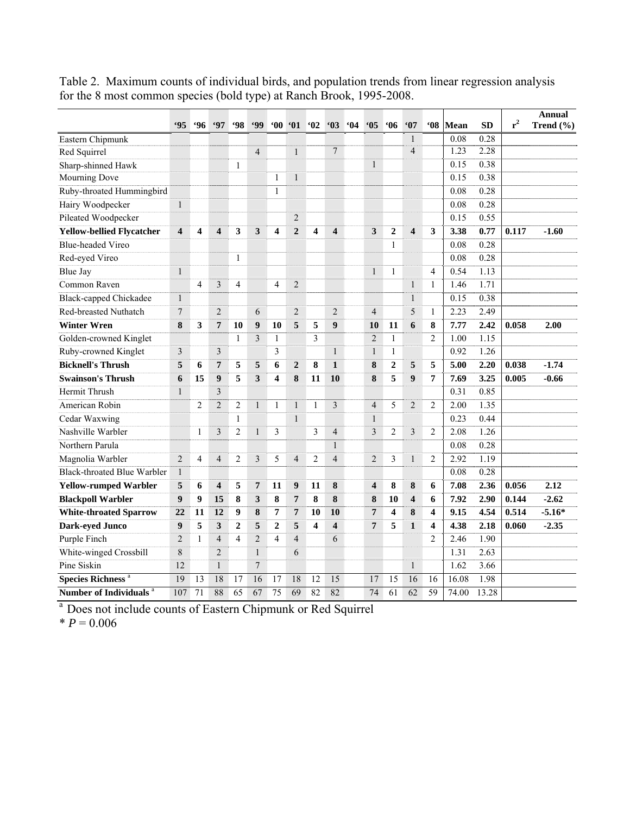|                                     | <b>'95</b>              | .96             | .97                     | <b>98</b>      | <b>499</b>     |                |                  |                 |                         | 64 |                         |                  |                         | <b>68°</b>     |              |                   | $r^2$ | <b>Annual</b> |
|-------------------------------------|-------------------------|-----------------|-------------------------|----------------|----------------|----------------|------------------|-----------------|-------------------------|----|-------------------------|------------------|-------------------------|----------------|--------------|-------------------|-------|---------------|
|                                     |                         |                 |                         |                |                | $60^\circ$     | $\cdot$ 01       | 62              | 63                      |    | 05                      | 66               | 67<br>$\mathbf{1}$      |                | Mean<br>0.08 | <b>SD</b><br>0.28 |       | Trend $(\% )$ |
| Eastern Chipmunk                    |                         |                 |                         |                | $\overline{4}$ |                | $\mathbf{1}$     |                 | $\overline{7}$          |    |                         |                  | $\overline{4}$          |                | 1.23         | 2.28              |       |               |
| Red Squirrel                        |                         |                 |                         | $\mathbf{1}$   |                |                |                  |                 |                         |    | $\mathbf{1}$            |                  |                         |                | 0.15         | 0.38              |       |               |
| Sharp-shinned Hawk<br>Mourning Dove |                         |                 |                         |                |                | $\mathbf{1}$   | $\mathbf{1}$     |                 |                         |    |                         |                  |                         |                | 0.15         | 0.38              |       |               |
| Ruby-throated Hummingbird           |                         |                 |                         |                |                | $\mathbf{1}$   |                  |                 |                         |    |                         |                  |                         |                | 0.08         | 0.28              |       |               |
| Hairy Woodpecker                    | $\mathbf{1}$            |                 |                         |                |                |                |                  |                 |                         |    |                         |                  |                         |                | 0.08         | 0.28              |       |               |
| Pileated Woodpecker                 |                         |                 |                         |                |                |                | $\overline{2}$   |                 |                         |    |                         |                  |                         |                | 0.15         | 0.55              |       |               |
| <b>Yellow-bellied Flycatcher</b>    | $\overline{\mathbf{4}}$ | 4               | $\overline{\mathbf{4}}$ | 3              | 3              | 4              | $\overline{2}$   | 4               | $\overline{\mathbf{4}}$ |    | 3                       | $\boldsymbol{2}$ | 4                       | 3              | 3.38         | 0.77              | 0.117 | $-1.60$       |
| <b>Blue-headed Vireo</b>            |                         |                 |                         |                |                |                |                  |                 |                         |    |                         | 1                |                         |                | 0.08         | 0.28              |       |               |
| Red-eyed Vireo                      |                         |                 |                         | 1              |                |                |                  |                 |                         |    |                         |                  |                         |                | 0.08         | 0.28              |       |               |
| Blue Jay                            | $\mathbf{1}$            |                 |                         |                |                |                |                  |                 |                         |    | 1                       | $\mathbf{1}$     |                         | $\overline{4}$ | 0.54         | 1.13              |       |               |
| Common Raven                        |                         | $\overline{4}$  | 3                       | $\overline{4}$ |                | $\overline{4}$ | $\overline{2}$   |                 |                         |    |                         |                  | $\mathbf{1}$            | $\mathbf{1}$   | 1.46         | 1.71              |       |               |
| <b>Black-capped Chickadee</b>       | $\,1\,$                 |                 |                         |                |                |                |                  |                 |                         |    |                         |                  | $\mathbf{1}$            |                | 0.15         | 0.38              |       |               |
| Red-breasted Nuthatch               | 7                       |                 | $\overline{2}$          |                | 6              |                | $\overline{2}$   |                 | $\overline{2}$          |    | $\overline{4}$          |                  | 5                       | $\mathbf{1}$   | 2.23         | 2.49              |       |               |
| <b>Winter Wren</b>                  | 8                       | 3               | 7                       | 10             | 9              | 10             | 5                | 5               | 9                       |    | 10                      | 11               | 6                       | 8              | 7.77         | 2.42              | 0.058 | 2.00          |
| Golden-crowned Kinglet              |                         |                 |                         | 1              | 3              | 1              |                  | 3               |                         |    | $\overline{2}$          | $\mathbf{1}$     |                         | $\overline{2}$ | 1.00         | 1.15              |       |               |
| Ruby-crowned Kinglet                | 3                       |                 | 3                       |                |                | 3              |                  |                 | $\mathbf{1}$            |    | $\mathbf{1}$            | $\mathbf{1}$     |                         |                | 0.92         | 1.26              |       |               |
| <b>Bicknell's Thrush</b>            | 5                       | 6               | 7                       | 5              | 5              | 6              | $\overline{2}$   | 8               | $\mathbf{1}$            |    | 8                       | $\overline{2}$   | 5                       | 5              | 5.00         | 2.20              | 0.038 | $-1.74$       |
| <b>Swainson's Thrush</b>            | 6                       | 15              | 9                       | 5              | 3              | 4              | 8                | 11              | 10                      |    | 8                       | 5                | 9                       | $\overline{7}$ | 7.69         | 3.25              | 0.005 | $-0.66$       |
| Hermit Thrush                       | $\mathbf{1}$            |                 | $\overline{\mathbf{3}}$ |                |                |                |                  |                 |                         |    |                         |                  |                         |                | 0.31         | 0.85              |       |               |
| American Robin                      |                         | $\overline{2}$  | $\overline{2}$          | $\overline{2}$ | $\mathbf{1}$   | 1              | $\mathbf{1}$     | $\mathbf{1}$    | $\mathfrak{Z}$          |    | $\overline{4}$          | 5                | $\overline{2}$          | $\overline{2}$ | 2.00         | 1.35              |       |               |
| Cedar Waxwing                       |                         |                 |                         | $\mathbf{1}$   |                |                | $\mathbf{1}$     |                 |                         |    | 1                       |                  |                         |                | 0.23         | 0.44              |       |               |
| Nashville Warbler                   |                         | 1               | 3                       | $\overline{2}$ | 1              | 3              |                  | 3               | $\overline{4}$          |    | 3                       | $\overline{2}$   | 3                       | $\overline{c}$ | 2.08         | 1.26              |       |               |
| Northern Parula                     |                         |                 |                         |                |                |                |                  |                 | $\mathbf{1}$            |    |                         |                  |                         |                | 0.08         | 0.28              |       |               |
| Magnolia Warbler                    | $\overline{2}$          | $\overline{4}$  | $\overline{4}$          | $\overline{2}$ | 3              | 5              | $\overline{4}$   | $\overline{c}$  | $\overline{4}$          |    | $\overline{2}$          | 3                | $\mathbf{1}$            | $\overline{2}$ | 2.92         | 1.19              |       |               |
| <b>Black-throated Blue Warbler</b>  | $\mathbf{1}$            |                 |                         |                |                |                |                  |                 |                         |    |                         |                  |                         |                | 0.08         | 0.28              |       |               |
| <b>Yellow-rumped Warbler</b>        | 5                       | 6               | $\overline{\mathbf{4}}$ | 5              | $\overline{7}$ | 11             | $\boldsymbol{9}$ | 11              | 8                       |    | $\overline{\mathbf{4}}$ | 8                | 8                       | 6              | 7.08         | 2.36              | 0.056 | 2.12          |
| <b>Blackpoll Warbler</b>            | 9                       | 9               | 15                      | 8              | 3              | 8              | $\overline{7}$   | 8               | 8                       |    | 8                       | 10               | $\overline{\mathbf{4}}$ | 6              | 7.92         | 2.90              | 0.144 | $-2.62$       |
| <b>White-throated Sparrow</b>       | 22                      | 11              | 12                      | 9              | 8              | 7              | $\overline{7}$   | 10              | 10                      |    | 7                       | 4                | 8                       | 4              | 9.15         | 4.54              | 0.514 | $-5.16*$      |
| Dark-eyed Junco                     | 9                       | 5               | 3                       | $\overline{2}$ | 5              | $\overline{2}$ | 5                | 4               | $\overline{\mathbf{4}}$ |    | $\overline{7}$          | 5                | 1                       | 4              | 4.38         | 2.18              | 0.060 | $-2.35$       |
| Purple Finch                        | $\overline{2}$          | $\mathbf{1}$    | $\overline{4}$          | $\overline{4}$ | $\overline{2}$ | 4              | $\overline{4}$   |                 | 6                       |    |                         |                  |                         | $\overline{2}$ | 2.46         | 1.90              |       |               |
| White-winged Crossbill              | 8                       |                 | $\overline{2}$          |                | $\mathbf{1}$   |                | 6                |                 |                         |    |                         |                  |                         |                | 1.31         | 2.63              |       |               |
| Pine Siskin                         | 12                      |                 | $\mathbf{1}$            |                | $\overline{7}$ |                |                  |                 |                         |    |                         |                  | $\mathbf{1}$            |                | 1.62         | 3.66              |       |               |
| <b>Species Richness<sup>a</sup></b> | 19                      | 13              | 18                      | 17             | 16             | 17             | 18               | $\overline{12}$ | $\overline{15}$         |    | 17                      | 15               | 16                      | 16             | 16.08        | 1.98              |       |               |
| Number of Individuals <sup>a</sup>  | 107                     | $\overline{71}$ | 88                      | 65             | 67             | 75             | 69               | 82              | 82                      |    | 74                      | 61               | 62                      | 59             | 74.00        | 13.28             |       |               |

Table 2. Maximum counts of individual birds, and population trends from linear regression analysis for the 8 most common species (bold type) at Ranch Brook, 1995-2008.

a Does not include counts of Eastern Chipmunk or Red Squirrel

 $* P = 0.006$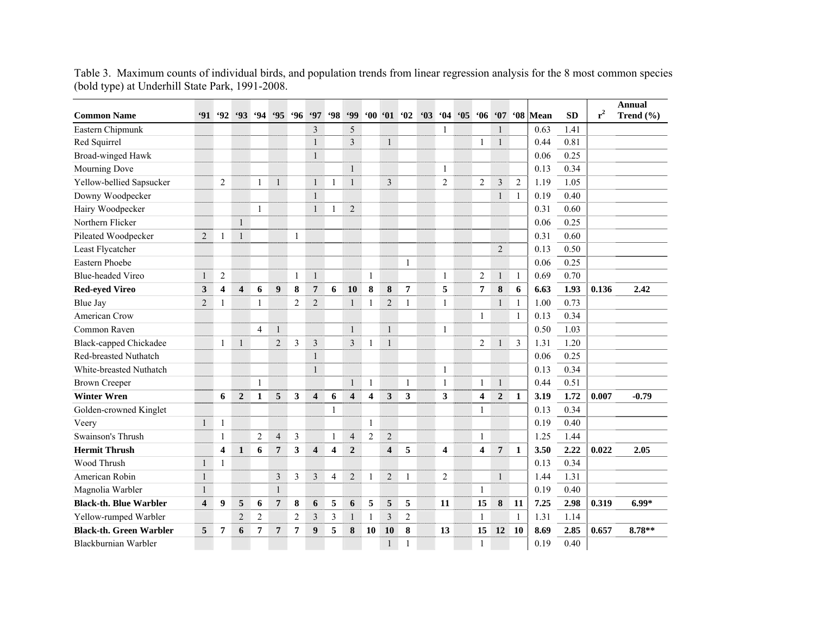| <b>Common Name</b>             | 91                      | 92                      | 93                      | .94              | .95              | .96            | <b>'97</b>              | <b>98</b> | <b>99</b>               | '00'01                  |                         | 62             | 63 | 64                      | $^{\circ}05$ | $^{\circ}06$            | 67               |                | '08 Mean | <b>SD</b> | $r^2$ | <b>Annual</b><br>Trend $(\% )$ |
|--------------------------------|-------------------------|-------------------------|-------------------------|------------------|------------------|----------------|-------------------------|-----------|-------------------------|-------------------------|-------------------------|----------------|----|-------------------------|--------------|-------------------------|------------------|----------------|----------|-----------|-------|--------------------------------|
| Eastern Chipmunk               |                         |                         |                         |                  |                  |                | 3                       |           | 5                       |                         |                         |                |    | 1                       |              |                         | $\mathbf{1}$     |                | 0.63     | 1.41      |       |                                |
| Red Squirrel                   |                         |                         |                         |                  |                  |                | $\mathbf{1}$            |           | 3                       |                         | $\mathbf{1}$            |                |    |                         |              | 1                       | $\mathbf{1}$     |                | 0.44     | 0.81      |       |                                |
| Broad-winged Hawk              |                         |                         |                         |                  |                  |                | $\mathbf{1}$            |           |                         |                         |                         |                |    |                         |              |                         |                  |                | 0.06     | 0.25      |       |                                |
| Mourning Dove                  |                         |                         |                         |                  |                  |                |                         |           | $\mathbf{1}$            |                         |                         |                |    | $\mathbf{1}$            |              |                         |                  |                | 0.13     | 0.34      |       |                                |
| Yellow-bellied Sapsucker       |                         | $\overline{c}$          |                         | $\mathbf{1}$     | $\mathbf{1}$     |                | $\mathbf{1}$            | 1         | $\mathbf{1}$            |                         | 3                       |                |    | $\overline{2}$          |              | $\mathfrak{2}$          | $\overline{3}$   | $\overline{2}$ | 1.19     | 1.05      |       |                                |
| Downy Woodpecker               |                         |                         |                         |                  |                  |                | $\mathbf{1}$            |           |                         |                         |                         |                |    |                         |              |                         | $\mathbf{1}$     | 1              | 0.19     | 0.40      |       |                                |
| Hairy Woodpecker               |                         |                         |                         | 1                |                  |                | $\mathbf{1}$            | 1         | $\overline{c}$          |                         |                         |                |    |                         |              |                         |                  |                | 0.31     | 0.60      |       |                                |
| Northern Flicker               |                         |                         | $\mathbf{1}$            |                  |                  |                |                         |           |                         |                         |                         |                |    |                         |              |                         |                  |                | 0.06     | 0.25      |       |                                |
| Pileated Woodpecker            | $\overline{2}$          | 1                       | $\mathbf{1}$            |                  |                  | $\mathbf{1}$   |                         |           |                         |                         |                         |                |    |                         |              |                         |                  |                | 0.31     | 0.60      |       |                                |
| Least Flycatcher               |                         |                         |                         |                  |                  |                |                         |           |                         |                         |                         |                |    |                         |              |                         | $\overline{2}$   |                | 0.13     | 0.50      |       |                                |
| Eastern Phoebe                 |                         |                         |                         |                  |                  |                |                         |           |                         |                         |                         | 1              |    |                         |              |                         |                  |                | 0.06     | 0.25      |       |                                |
| <b>Blue-headed Vireo</b>       | $\mathbf{1}$            | $\overline{c}$          |                         |                  |                  | $\mathbf{1}$   | $\mathbf{1}$            |           |                         | $\mathbf{1}$            |                         |                |    | $\overline{1}$          |              | $\overline{2}$          | $\mathbf{1}$     | $\mathbf{1}$   | 0.69     | 0.70      |       |                                |
| <b>Red-eyed Vireo</b>          | $\mathbf{3}$            | $\overline{\mathbf{4}}$ | $\overline{\mathbf{4}}$ | 6                | $\boldsymbol{9}$ | 8              | $\overline{7}$          | 6         | 10                      | 8                       | 8                       | $\overline{7}$ |    | 5                       |              | 7                       | 8                | 6              | 6.63     | 1.93      | 0.136 | 2.42                           |
| Blue Jay                       | $\overline{2}$          | $\mathbf{1}$            |                         | $\mathbf{1}$     |                  | $\mathfrak{2}$ | $\overline{2}$          |           | $\mathbf{1}$            | $\mathbf{1}$            | $\overline{2}$          | $\mathbf{1}$   |    | $\mathbf{1}$            |              |                         | $\mathbf{1}$     | $\mathbf{1}$   | 1.00     | 0.73      |       |                                |
| American Crow                  |                         |                         |                         |                  |                  |                |                         |           |                         |                         |                         |                |    |                         |              | $\mathbf{1}$            |                  | $\mathbf{1}$   | 0.13     | 0.34      |       |                                |
| Common Raven                   |                         |                         |                         | $\overline{4}$   | $\mathbf{1}$     |                |                         |           | $\mathbf{1}$            |                         | $\mathbf{1}$            |                |    | $\mathbf{1}$            |              |                         |                  |                | 0.50     | 1.03      |       |                                |
| <b>Black-capped Chickadee</b>  |                         | 1                       | $\mathbf{1}$            |                  | $\overline{2}$   | $\mathfrak{Z}$ | $\mathfrak{Z}$          |           | 3                       | 1                       | 1                       |                |    |                         |              | $\overline{2}$          | 1                | 3              | 1.31     | 1.20      |       |                                |
| Red-breasted Nuthatch          |                         |                         |                         |                  |                  |                | $\mathbf{1}$            |           |                         |                         |                         |                |    |                         |              |                         |                  |                | 0.06     | 0.25      |       |                                |
| White-breasted Nuthatch        |                         |                         |                         |                  |                  |                | $\mathbf{1}$            |           |                         |                         |                         |                |    | $\mathbf{1}$            |              |                         |                  |                | 0.13     | 0.34      |       |                                |
| <b>Brown Creeper</b>           |                         |                         |                         | 1                |                  |                |                         |           | $\mathbf{1}$            | $\mathbf{1}$            |                         | 1              |    | $\mathbf{1}$            |              | 1                       | $\mathbf{1}$     |                | 0.44     | 0.51      |       |                                |
| <b>Winter Wren</b>             |                         | 6                       | $\overline{2}$          | $\mathbf{1}$     | 5                | $\mathbf{3}$   | $\overline{\mathbf{4}}$ | 6         | $\overline{\mathbf{4}}$ | $\overline{\mathbf{4}}$ | $\mathbf{3}$            | 3              |    | 3                       |              | $\overline{\mathbf{4}}$ | $\boldsymbol{2}$ | 1              | 3.19     | 1.72      | 0.007 | $-0.79$                        |
| Golden-crowned Kinglet         |                         |                         |                         |                  |                  |                |                         | 1         |                         |                         |                         |                |    |                         |              | 1                       |                  |                | 0.13     | 0.34      |       |                                |
| Veery                          | $\mathbf{1}$            | $\mathbf{1}$            |                         |                  |                  |                |                         |           |                         | $\mathbf{1}$            |                         |                |    |                         |              |                         |                  |                | 0.19     | 0.40      |       |                                |
| Swainson's Thrush              |                         | 1                       |                         | $\boldsymbol{2}$ | $\overline{4}$   | 3              |                         | 1         | $\overline{4}$          | $\overline{2}$          | $\overline{2}$          |                |    |                         |              | 1                       |                  |                | 1.25     | 1.44      |       |                                |
| <b>Hermit Thrush</b>           |                         | $\overline{\mathbf{4}}$ | $\mathbf{1}$            | 6                | $\overline{7}$   | 3              | $\overline{\mathbf{4}}$ | 4         | $\overline{2}$          |                         | $\overline{\mathbf{4}}$ | 5              |    | $\overline{\mathbf{4}}$ |              | $\overline{\mathbf{4}}$ | $\overline{7}$   | 1              | 3.50     | 2.22      | 0.022 | 2.05                           |
| Wood Thrush                    | $\mathbf{1}$            | $\mathbf{1}$            |                         |                  |                  |                |                         |           |                         |                         |                         |                |    |                         |              |                         |                  |                | 0.13     | 0.34      |       |                                |
| American Robin                 | $\mathbf{1}$            |                         |                         |                  | $\mathfrak{Z}$   | 3              | 3                       | 4         | $\overline{c}$          | $\mathbf{1}$            | $\overline{2}$          | $\mathbf{1}$   |    | 2                       |              |                         | $\mathbf{1}$     |                | 1.44     | 1.31      |       |                                |
| Magnolia Warbler               | $\mathbf{1}$            |                         |                         |                  | $\mathbf{1}$     |                |                         |           |                         |                         |                         |                |    |                         |              | $\mathbf{1}$            |                  |                | 0.19     | 0.40      |       |                                |
| <b>Black-th. Blue Warbler</b>  | $\overline{\mathbf{4}}$ | 9                       | 5                       | 6                | $\overline{7}$   | 8              | 6                       | 5         | 6                       | 5                       | 5                       | 5              |    | 11                      |              | 15                      | ${\bf 8}$        | 11             | 7.25     | 2.98      | 0.319 | $6.99*$                        |
| Yellow-rumped Warbler          |                         |                         | $\overline{2}$          | $\overline{2}$   |                  | $\mathfrak{2}$ | 3                       | 3         | $\mathbf{1}$            | $\mathbf{1}$            | $\overline{\mathbf{3}}$ | $\overline{c}$ |    |                         |              | $\mathbf{1}$            |                  | $\mathbf{1}$   | 1.31     | 1.14      |       |                                |
| <b>Black-th. Green Warbler</b> | 5                       | 7                       | 6                       | 7                | 7                | 7              | 9                       | 5         | 8                       | 10                      | 10                      | 8              |    | 13                      |              | 15                      | 12               | <b>10</b>      | 8.69     | 2.85      | 0.657 | 8.78**                         |
| Blackburnian Warbler           |                         |                         |                         |                  |                  |                |                         |           |                         |                         | 1                       | 1              |    |                         |              | $\mathbf{1}$            |                  |                | 0.19     | 0.40      |       |                                |

Table 3. Maximum counts of individual birds, and population trends from linear regression analysis for the 8 most common species (bold type) at Underhill State Park, 1991-2008.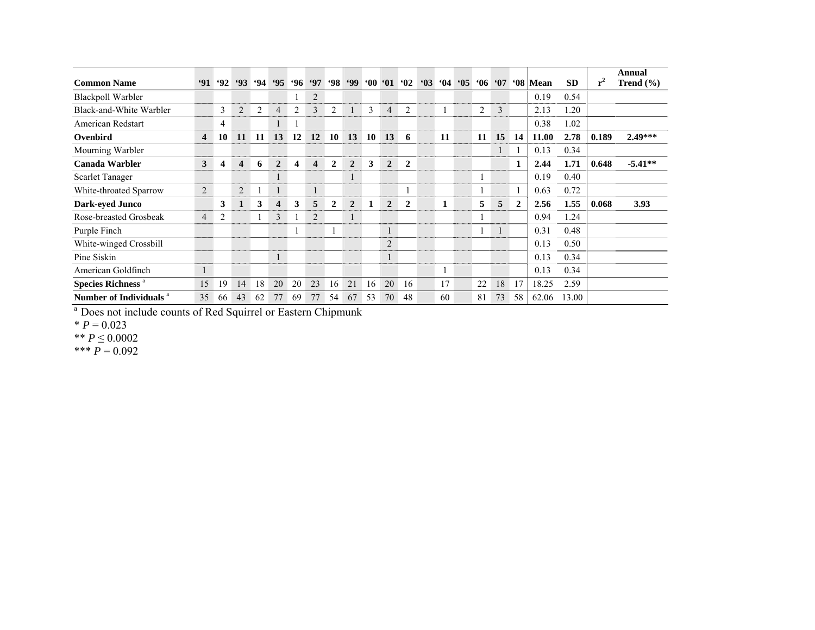| <b>Common Name</b>                  | 91                      | $^{692}$ | 93                      |                | $94$ $95$      |    |                         |                | $96 \t97 \t98 \t99 \t00 \t01 \t02$ |    |                |                | $^{\circ}03$ |    | $04 \t05$ |    | $06 \t07$ |              | '08 Mean | <b>SD</b> | $r^2$ | Annual<br>Trend $(\% )$ |
|-------------------------------------|-------------------------|----------|-------------------------|----------------|----------------|----|-------------------------|----------------|------------------------------------|----|----------------|----------------|--------------|----|-----------|----|-----------|--------------|----------|-----------|-------|-------------------------|
| <b>Blackpoll Warbler</b>            |                         |          |                         |                |                |    | $\overline{2}$          |                |                                    |    |                |                |              |    |           |    |           |              | 0.19     | 0.54      |       |                         |
| Black-and-White Warbler             |                         | 3        | 2                       | $\overline{2}$ | 4              | 2  | $\overline{3}$          | 2              |                                    | 3  | $\overline{4}$ | 2              |              |    |           | 2  | 3         |              | 2.13     | 1.20      |       |                         |
| American Redstart                   |                         | 4        |                         |                |                |    |                         |                |                                    |    |                |                |              |    |           |    |           |              | 0.38     | 1.02      |       |                         |
| Ovenbird                            | $\overline{\mathbf{4}}$ | 10       | 11                      | 11             | 13             | 12 | 12                      | 10             | 13                                 | 10 | 13             | 6              |              | 11 |           | 11 | 15        | 14           | 11.00    | 2.78      | 0.189 | $2.49***$               |
| Mourning Warbler                    |                         |          |                         |                |                |    |                         |                |                                    |    |                |                |              |    |           |    |           |              | 0.13     | 0.34      |       |                         |
| Canada Warbler                      | 3                       | 4        | $\overline{\mathbf{4}}$ | 6              | $\overline{2}$ | 4  | $\overline{\mathbf{4}}$ | $\overline{2}$ | $\overline{2}$                     | 3  | $\overline{2}$ | $\overline{2}$ |              |    |           |    |           | 1            | 2.44     | 1.71      | 0.648 | $-5.41**$               |
| <b>Scarlet Tanager</b>              |                         |          |                         |                |                |    |                         |                |                                    |    |                |                |              |    |           |    |           |              | 0.19     | 0.40      |       |                         |
| White-throated Sparrow              | $\overline{2}$          |          | $\overline{2}$          |                |                |    | 1                       |                |                                    |    |                |                |              |    |           |    |           |              | 0.63     | 0.72      |       |                         |
| Dark-eyed Junco                     |                         | 3        | $\mathbf{1}$            | 3              | 4              | 3  | 5                       | $\mathbf{2}$   | $\overline{2}$                     |    | $\overline{2}$ | $\overline{2}$ |              | 1  |           | 5  | 5         | $\mathbf{2}$ | 2.56     | 1.55      | 0.068 | 3.93                    |
| Rose-breasted Grosbeak              | $\overline{4}$          | 2        |                         |                | 3              |    | $\overline{2}$          |                |                                    |    |                |                |              |    |           |    |           |              | 0.94     | 1.24      |       |                         |
| Purple Finch                        |                         |          |                         |                |                |    |                         | H              |                                    |    | $\mathbf{1}$   |                |              |    |           |    |           |              | 0.31     | 0.48      |       |                         |
| White-winged Crossbill              |                         |          |                         |                |                |    |                         |                |                                    |    | 2              |                |              |    |           |    |           |              | 0.13     | 0.50      |       |                         |
| Pine Siskin                         |                         |          |                         |                |                |    |                         |                |                                    |    | 1              |                |              |    |           |    |           |              | 0.13     | 0.34      |       |                         |
| American Goldfinch                  |                         |          |                         |                |                |    |                         |                |                                    |    |                |                |              |    |           |    |           |              | 0.13     | 0.34      |       |                         |
| <b>Species Richness<sup>a</sup></b> | 15                      | 19       | 14                      | 18             | 20             | 20 | 23                      | 16             | 21                                 | 16 | 20             | 16             |              | 17 |           | 22 | 18        | 17           | 18.25    | 2.59      |       |                         |
| Number of Individuals <sup>a</sup>  | 35                      | 66       | 43                      | 62             | 77             | 69 | 77                      | 54             | 67                                 | 53 | 70             | 48             |              | 60 |           | 81 | 73        | 58           | 62.06    | 13.00     |       |                         |

<sup>a</sup> Does not include counts of Red Squirrel or Eastern Chipmunk

\* *P* = 0.023 \*\* *P* ≤ 0.0002

 $*** P=0.092$